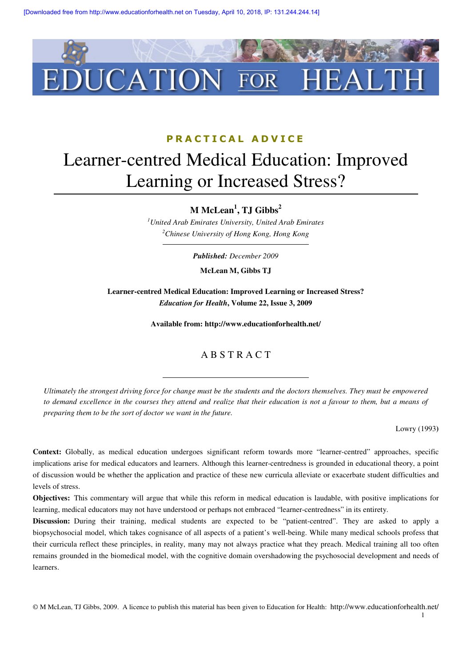

### PRACTICAL ADVICE

# Learner-centred Medical Education: Improved Learning or Increased Stress?

**M McLean<sup>1</sup> , TJ Gibbs<sup>2</sup>**

*<sup>1</sup>United Arab Emirates University, United Arab Emirates <sup>2</sup>Chinese University of Hong Kong, Hong Kong* 

*Published: December 2009* 

**McLean M, Gibbs TJ** 

**Learner-centred Medical Education: Improved Learning or Increased Stress?**  *Education for Health***, Volume 22, Issue 3, 2009** 

**Available from: http://www.educationforhealth.net/** 

#### A B S T R A C T

*Ultimately the strongest driving force for change must be the students and the doctors themselves. They must be empowered to demand excellence in the courses they attend and realize that their education is not a favour to them, but a means of preparing them to be the sort of doctor we want in the future.* 

Lowry (1993**)** 

**Context:** Globally, as medical education undergoes significant reform towards more "learner-centred" approaches, specific implications arise for medical educators and learners. Although this learner-centredness is grounded in educational theory, a point of discussion would be whether the application and practice of these new curricula alleviate or exacerbate student difficulties and levels of stress.

**Objectives:** This commentary will argue that while this reform in medical education is laudable, with positive implications for learning, medical educators may not have understood or perhaps not embraced "learner-centredness" in its entirety.

**Discussion:** During their training, medical students are expected to be "patient-centred". They are asked to apply a biopsychosocial model, which takes cognisance of all aspects of a patient's well-being. While many medical schools profess that their curricula reflect these principles, in reality, many may not always practice what they preach. Medical training all too often remains grounded in the biomedical model, with the cognitive domain overshadowing the psychosocial development and needs of learners.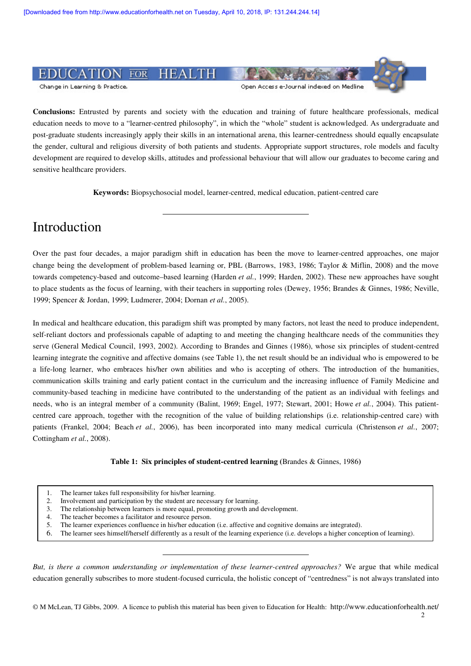

**Conclusions:** Entrusted by parents and society with the education and training of future healthcare professionals, medical education needs to move to a "learner-centred philosophy", in which the "whole" student is acknowledged. As undergraduate and post-graduate students increasingly apply their skills in an international arena, this learner-centredness should equally encapsulate the gender, cultural and religious diversity of both patients and students. Appropriate support structures, role models and faculty development are required to develop skills, attitudes and professional behaviour that will allow our graduates to become caring and sensitive healthcare providers.

**Keywords:** Biopsychosocial model, learner-centred, medical education, patient-centred care

## Introduction

Over the past four decades, a major paradigm shift in education has been the move to learner-centred approaches, one major change being the development of problem-based learning or, PBL (Barrows, 1983, 1986; Taylor & Miflin, 2008) and the move towards competency-based and outcome–based learning (Harden *et al.*, 1999; Harden, 2002). These new approaches have sought to place students as the focus of learning, with their teachers in supporting roles (Dewey, 1956; Brandes & Ginnes, 1986; Neville, 1999; Spencer & Jordan, 1999; Ludmerer, 2004; Dornan *et al.*, 2005).

In medical and healthcare education, this paradigm shift was prompted by many factors, not least the need to produce independent, self-reliant doctors and professionals capable of adapting to and meeting the changing healthcare needs of the communities they serve (General Medical Council, 1993, 2002). According to Brandes and Ginnes (1986), whose six principles of student-centred learning integrate the cognitive and affective domains (see Table 1), the net result should be an individual who is empowered to be a life-long learner, who embraces his/her own abilities and who is accepting of others. The introduction of the humanities, communication skills training and early patient contact in the curriculum and the increasing influence of Family Medicine and community-based teaching in medicine have contributed to the understanding of the patient as an individual with feelings and needs, who is an integral member of a community (Balint, 1969; Engel, 1977; Stewart, 2001; Howe *et al.*, 2004). This patientcentred care approach, together with the recognition of the value of building relationships (i.e. relationship-centred care) with patients (Frankel, 2004; Beach et al., 2006), has been incorporated into many medical curricula (Christenson et al., 2007; Cottingham *et al.*, 2008).

**Table 1: Six principles of student-centred learning (**Brandes & Ginnes, 1986**)** 

- 2. Involvement and participation by the student are necessary for learning.<br>
2. The relationship between learners is more equal, promoting growth and
- The relationship between learners is more equal, promoting growth and development.
- 4. The teacher becomes a facilitator and resource person.
- 5. The learner experiences confluence in his/her education (i.e. affective and cognitive domains are integrated).
- 6. The learner sees himself/herself differently as a result of the learning experience (i.e. develops a higher conception of learning).

*But, is there a common understanding or implementation of these learner-centred approaches?* We argue that while medical education generally subscribes to more student-focused curricula, the holistic concept of "centredness" is not always translated into

<sup>1.</sup> The learner takes full responsibility for his/her learning.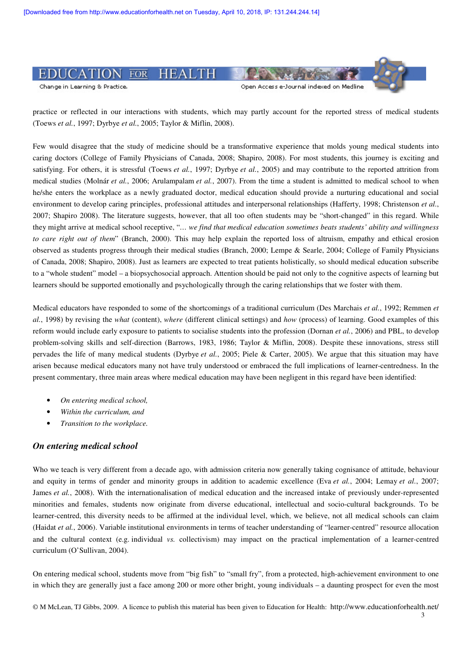

practice or reflected in our interactions with students, which may partly account for the reported stress of medical students (Toews *et al.*, 1997; Dyrbye *et al.*, 2005; Taylor & Miflin, 2008).

Few would disagree that the study of medicine should be a transformative experience that molds young medical students into caring doctors (College of Family Physicians of Canada, 2008; Shapiro, 2008). For most students, this journey is exciting and satisfying. For others, it is stressful (Toews *et al.*, 1997; Dyrbye *et al.*, 2005) and may contribute to the reported attrition from medical studies (Molnár *et al.*, 2006; Arulampalam *et al.*, 2007). From the time a student is admitted to medical school to when he/she enters the workplace as a newly graduated doctor, medical education should provide a nurturing educational and social environment to develop caring principles, professional attitudes and interpersonal relationships (Hafferty, 1998; Christenson *et al.*, 2007; Shapiro 2008). The literature suggests, however, that all too often students may be "short-changed" in this regard. While they might arrive at medical school receptive, "*… we find that medical education sometimes beats students' ability and willingness to care right out of them*" (Branch, 2000). This may help explain the reported loss of altruism, empathy and ethical erosion observed as students progress through their medical studies (Branch, 2000; Lempe & Searle, 2004; College of Family Physicians of Canada, 2008; Shapiro, 2008). Just as learners are expected to treat patients holistically, so should medical education subscribe to a "whole student" model – a biopsychosocial approach. Attention should be paid not only to the cognitive aspects of learning but learners should be supported emotionally and psychologically through the caring relationships that we foster with them.

Medical educators have responded to some of the shortcomings of a traditional curriculum (Des Marchais *et al.*, 1992; Remmen *et al.*, 1998) by revising the *what* (content), *where* (different clinical settings) and *how* (process) of learning. Good examples of this reform would include early exposure to patients to socialise students into the profession (Dornan *et al.*, 2006) and PBL, to develop problem-solving skills and self-direction (Barrows, 1983, 1986; Taylor & Miflin, 2008). Despite these innovations, stress still pervades the life of many medical students (Dyrbye *et al.*, 2005; Piele & Carter, 2005). We argue that this situation may have arisen because medical educators many not have truly understood or embraced the full implications of learner-centredness. In the present commentary, three main areas where medical education may have been negligent in this regard have been identified:

- *On entering medical school,*
- *Within the curriculum, and*
- *Transition to the workplace.*

#### *On entering medical school*

Who we teach is very different from a decade ago, with admission criteria now generally taking cognisance of attitude, behaviour and equity in terms of gender and minority groups in addition to academic excellence (Eva *et al.*, 2004; Lemay *et al.*, 2007; James et al., 2008). With the internationalisation of medical education and the increased intake of previously under-represented minorities and females, students now originate from diverse educational, intellectual and socio-cultural backgrounds. To be learner-centred, this diversity needs to be affirmed at the individual level, which, we believe, not all medical schools can claim (Haidat *et al.*, 2006). Variable institutional environments in terms of teacher understanding of "learner-centred" resource allocation and the cultural context (e.g. individual *vs.* collectivism) may impact on the practical implementation of a learner-centred curriculum (O'Sullivan, 2004).

On entering medical school, students move from "big fish" to "small fry", from a protected, high-achievement environment to one in which they are generally just a face among 200 or more other bright, young individuals – a daunting prospect for even the most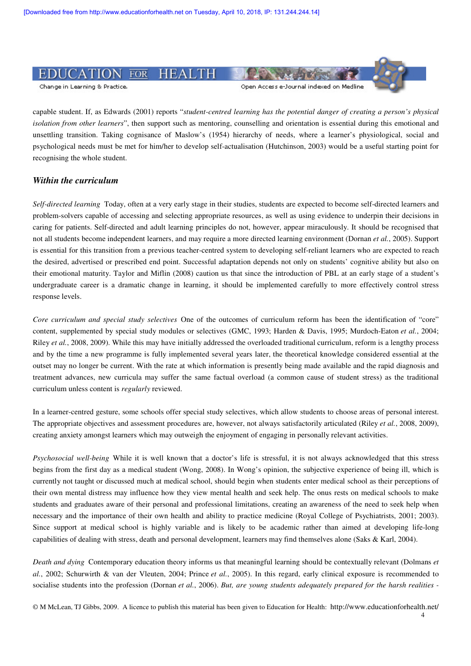

Change in Learning & Practice.

#### Open Access e-Journal indexed on Medline

capable student. If, as Edwards (2001) reports "*student-centred learning has the potential danger of creating a person's physical isolation from other learners*", then support such as mentoring, counselling and orientation is essential during this emotional and unsettling transition. Taking cognisance of Maslow's (1954) hierarchy of needs, where a learner's physiological, social and psychological needs must be met for him/her to develop self-actualisation (Hutchinson, 2003) would be a useful starting point for recognising the whole student.

#### *Within the curriculum*

*Self-directed learning* Today, often at a very early stage in their studies, students are expected to become self-directed learners and problem-solvers capable of accessing and selecting appropriate resources, as well as using evidence to underpin their decisions in caring for patients. Self-directed and adult learning principles do not, however, appear miraculously. It should be recognised that not all students become independent learners, and may require a more directed learning environment (Dornan *et al.*, 2005). Support is essential for this transition from a previous teacher-centred system to developing self-reliant learners who are expected to reach the desired, advertised or prescribed end point. Successful adaptation depends not only on students' cognitive ability but also on their emotional maturity. Taylor and Miflin (2008) caution us that since the introduction of PBL at an early stage of a student's undergraduate career is a dramatic change in learning, it should be implemented carefully to more effectively control stress response levels.

*Core curriculum and special study selectives* One of the outcomes of curriculum reform has been the identification of "core" content, supplemented by special study modules or selectives (GMC, 1993; Harden & Davis, 1995; Murdoch-Eaton *et al.*, 2004; Riley et al., 2008, 2009). While this may have initially addressed the overloaded traditional curriculum, reform is a lengthy process and by the time a new programme is fully implemented several years later, the theoretical knowledge considered essential at the outset may no longer be current. With the rate at which information is presently being made available and the rapid diagnosis and treatment advances, new curricula may suffer the same factual overload (a common cause of student stress) as the traditional curriculum unless content is *regularly* reviewed.

In a learner-centred gesture, some schools offer special study selectives, which allow students to choose areas of personal interest. The appropriate objectives and assessment procedures are, however, not always satisfactorily articulated (Riley *et al.*, 2008, 2009), creating anxiety amongst learners which may outweigh the enjoyment of engaging in personally relevant activities.

*Psychosocial well-being* While it is well known that a doctor's life is stressful, it is not always acknowledged that this stress begins from the first day as a medical student (Wong, 2008). In Wong's opinion, the subjective experience of being ill, which is currently not taught or discussed much at medical school, should begin when students enter medical school as their perceptions of their own mental distress may influence how they view mental health and seek help. The onus rests on medical schools to make students and graduates aware of their personal and professional limitations, creating an awareness of the need to seek help when necessary and the importance of their own health and ability to practice medicine (Royal College of Psychiatrists, 2001; 2003). Since support at medical school is highly variable and is likely to be academic rather than aimed at developing life-long capabilities of dealing with stress, death and personal development, learners may find themselves alone (Saks & Karl, 2004).

*Death and dying* Contemporary education theory informs us that meaningful learning should be contextually relevant (Dolmans *et al.*, 2002; Schurwirth & van der Vleuten, 2004; Prince *et al.*, 2005). In this regard, early clinical exposure is recommended to socialise students into the profession (Dornan *et al.*, 2006). *But, are young students adequately prepared for the harsh realities -*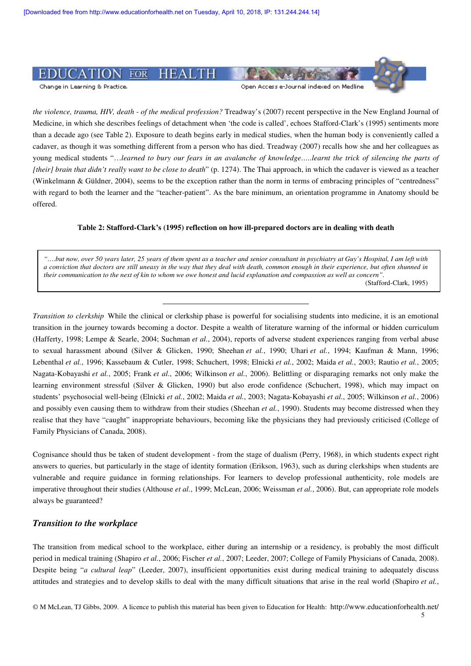

*the violence, trauma, HIV, death - of the medical profession?* Treadway's (2007) recent perspective in the New England Journal of Medicine, in which she describes feelings of detachment when 'the code is called', echoes Stafford-Clark's (1995) sentiments more than a decade ago (see Table 2). Exposure to death begins early in medical studies, when the human body is conveniently called a cadaver, as though it was something different from a person who has died. Treadway (2007) recalls how she and her colleagues as young medical students "…*learned to bury our fears in an avalanche of knowledge…..learnt the trick of silencing the parts of [their] brain that didn't really want to be close to death*" (p. 1274). The Thai approach, in which the cadaver is viewed as a teacher (Winkelmann & Güldner, 2004), seems to be the exception rather than the norm in terms of embracing principles of "centredness" with regard to both the learner and the "teacher-patient". As the bare minimum, an orientation programme in Anatomy should be offered.

#### **Table 2: Stafford-Clark's (1995) reflection on how ill-prepared doctors are in dealing with death**

*"….but now, over 50 years later, 25 years of them spent as a teacher and senior consultant in psychiatry at Guy's Hospital, I am left with a conviction that doctors are still uneasy in the way that they deal with death, common enough in their experience, but often shunned in their communication to the next of kin to whom we owe honest and lucid explanation and compassion as well as concern".*  (Stafford-Clark, 1995)

*Transition to clerkship* While the clinical or clerkship phase is powerful for socialising students into medicine, it is an emotional transition in the journey towards becoming a doctor. Despite a wealth of literature warning of the informal or hidden curriculum (Hafferty, 1998; Lempe & Searle, 2004; Suchman *et al.*, 2004), reports of adverse student experiences ranging from verbal abuse to sexual harassment abound (Silver & Glicken, 1990; Sheehan *et al.*, 1990; Uhari *et al.*, 1994; Kaufman & Mann, 1996; Lebenthal *et al.*, 1996; Kassebaum & Cutler, 1998; Schuchert, 1998; Elnicki *et al.*, 2002; Maida *et al.*, 2003; Rautio *et al.*, 2005; Nagata-Kobayashi *et al.*, 2005; Frank *et al.*, 2006; Wilkinson *et al.*, 2006). Belittling or disparaging remarks not only make the learning environment stressful (Silver & Glicken, 1990) but also erode confidence (Schuchert, 1998), which may impact on students' psychosocial well-being (Elnicki *et al.*, 2002; Maida *et al.*, 2003; Nagata-Kobayashi *et al.*, 2005; Wilkinson *et al.*, 2006) and possibly even causing them to withdraw from their studies (Sheehan *et al.*, 1990). Students may become distressed when they realise that they have "caught" inappropriate behaviours, becoming like the physicians they had previously criticised (College of Family Physicians of Canada, 2008).

Cognisance should thus be taken of student development - from the stage of dualism (Perry, 1968), in which students expect right answers to queries, but particularly in the stage of identity formation (Erikson, 1963), such as during clerkships when students are vulnerable and require guidance in forming relationships. For learners to develop professional authenticity, role models are imperative throughout their studies (Althouse *et al.*, 1999; McLean, 2006; Weissman *et al.*, 2006). But, can appropriate role models always be guaranteed?

#### *Transition to the workplace*

The transition from medical school to the workplace, either during an internship or a residency, is probably the most difficult period in medical training (Shapiro *et al.*, 2006; Fischer *et al.*, 2007; Leeder, 2007; College of Family Physicians of Canada, 2008). Despite being "*a cultural leap*" (Leeder, 2007), insufficient opportunities exist during medical training to adequately discuss attitudes and strategies and to develop skills to deal with the many difficult situations that arise in the real world (Shapiro *et al.*,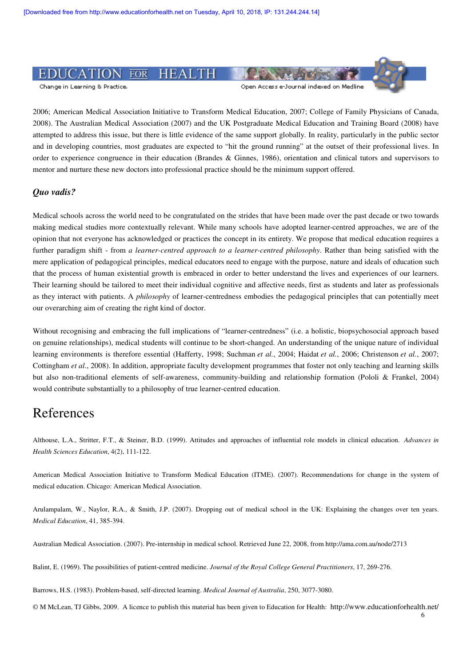

2006; American Medical Association Initiative to Transform Medical Education, 2007; College of Family Physicians of Canada, 2008). The Australian Medical Association (2007) and the UK Postgraduate Medical Education and Training Board (2008) have attempted to address this issue, but there is little evidence of the same support globally. In reality, particularly in the public sector and in developing countries, most graduates are expected to "hit the ground running" at the outset of their professional lives. In order to experience congruence in their education (Brandes & Ginnes, 1986), orientation and clinical tutors and supervisors to mentor and nurture these new doctors into professional practice should be the minimum support offered.

#### *Quo vadis?*

Medical schools across the world need to be congratulated on the strides that have been made over the past decade or two towards making medical studies more contextually relevant. While many schools have adopted learner-centred approaches, we are of the opinion that not everyone has acknowledged or practices the concept in its entirety. We propose that medical education requires a further paradigm shift - from *a learner-centred approach to a learner-centred philosophy*. Rather than being satisfied with the mere application of pedagogical principles, medical educators need to engage with the purpose, nature and ideals of education such that the process of human existential growth is embraced in order to better understand the lives and experiences of our learners. Their learning should be tailored to meet their individual cognitive and affective needs, first as students and later as professionals as they interact with patients. A *philosophy* of learner-centredness embodies the pedagogical principles that can potentially meet our overarching aim of creating the right kind of doctor.

Without recognising and embracing the full implications of "learner-centredness" (i.e. a holistic, biopsychosocial approach based on genuine relationships), medical students will continue to be short-changed. An understanding of the unique nature of individual learning environments is therefore essential (Hafferty, 1998; Suchman *et al.*, 2004; Haidat *et al.*, 2006; Christenson *et al.*, 2007; Cottingham *et al.*, 2008). In addition, appropriate faculty development programmes that foster not only teaching and learning skills but also non-traditional elements of self-awareness, community-building and relationship formation (Pololi & Frankel, 2004) would contribute substantially to a philosophy of true learner-centred education.

## References

Althouse, L.A., Stritter, F.T., & Steiner, B.D. (1999). Attitudes and approaches of influential role models in clinical education. *Advances in Health Sciences Education*, 4(2), 111-122.

American Medical Association Initiative to Transform Medical Education (ITME). (2007). Recommendations for change in the system of medical education. Chicago: American Medical Association.

Arulampalam, W., Naylor, R.A., & Smith, J.P. (2007). Dropping out of medical school in the UK: Explaining the changes over ten years. *Medical Education*, 41, 385-394.

Australian Medical Association. (2007). Pre-internship in medical school. Retrieved June 22, 2008, from http://ama.com.au/node/2713

Balint, E. (1969). The possibilities of patient-centred medicine. *Journal of the Royal College General Practitioners*, 17, 269-276.

Barrows, H.S. (1983). Problem-based, self-directed learning. *Medical Journal of Australia*, 250, 3077-3080.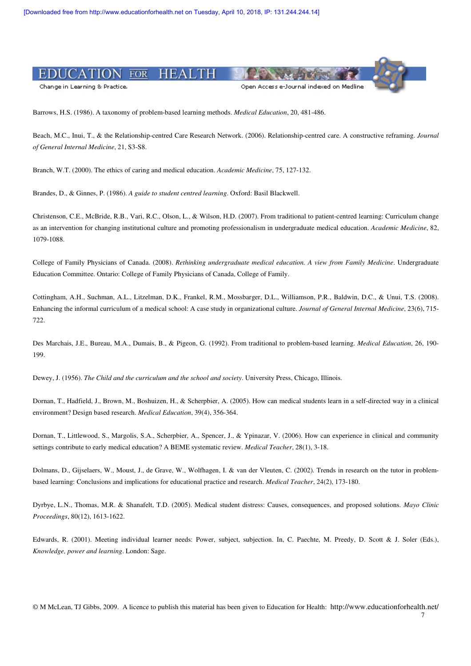

Barrows, H.S. (1986). A taxonomy of problem-based learning methods. *Medical Education*, 20, 481-486.

Beach, M.C., Inui, T., & the Relationship-centred Care Research Network. (2006). Relationship-centred care. A constructive reframing. *Journal of General Internal Medicine*, 21, S3-S8.

Branch, W.T. (2000). The ethics of caring and medical education. *Academic Medicine*, 75, 127-132.

Brandes, D., & Ginnes, P. (1986). *A guide to student centred learning*. Oxford: Basil Blackwell.

Christenson, C.E., McBride, R.B., Vari, R.C., Olson, L., & Wilson, H.D. (2007). From traditional to patient-centred learning: Curriculum change as an intervention for changing institutional culture and promoting professionalism in undergraduate medical education. *Academic Medicine*, 82, 1079-1088.

College of Family Physicians of Canada. (2008). *Rethinking undergraduate medical education. A view from Family Medicine*. Undergraduate Education Committee. Ontario: College of Family Physicians of Canada, College of Family.

Cottingham, A.H., Suchman, A.L., Litzelman, D.K., Frankel, R.M., Mossbarger, D.L., Williamson, P.R., Baldwin, D.C., & Unui, T.S. (2008). Enhancing the informal curriculum of a medical school: A case study in organizational culture. *Journal of General Internal Medicine*, 23(6), 715- 722.

Des Marchais, J.E., Bureau, M.A., Dumais, B., & Pigeon, G. (1992). From traditional to problem-based learning. *Medical Education*, 26, 190- 199.

Dewey, J. (1956). *The Child and the curriculum and the school and society*. University Press, Chicago, Illinois.

Dornan, T., Hadfield, J., Brown, M., Boshuizen, H., & Scherpbier, A. (2005). How can medical students learn in a self-directed way in a clinical environment? Design based research. *Medical Education*, 39(4), 356-364.

Dornan, T., Littlewood, S., Margolis, S.A., Scherpbier, A., Spencer, J., & Ypinazar, V. (2006). How can experience in clinical and community settings contribute to early medical education? A BEME systematic review. *Medical Teacher*, 28(1), 3-18.

Dolmans, D., Gijselaers, W., Moust, J., de Grave, W., Wolfhagen, I. & van der Vleuten, C. (2002). Trends in research on the tutor in problembased learning: Conclusions and implications for educational practice and research. *Medical Teacher*, 24(2), 173-180.

Dyrbye, L.N., Thomas, M.R. & Shanafelt, T.D. (2005). Medical student distress: Causes, consequences, and proposed solutions. *Mayo Clinic Proceedings*, 80(12), 1613-1622.

Edwards, R. (2001). Meeting individual learner needs: Power, subject, subjection. In, C. Paechte, M. Preedy, D. Scott & J. Soler (Eds.), *Knowledge, power and learning*. London: Sage.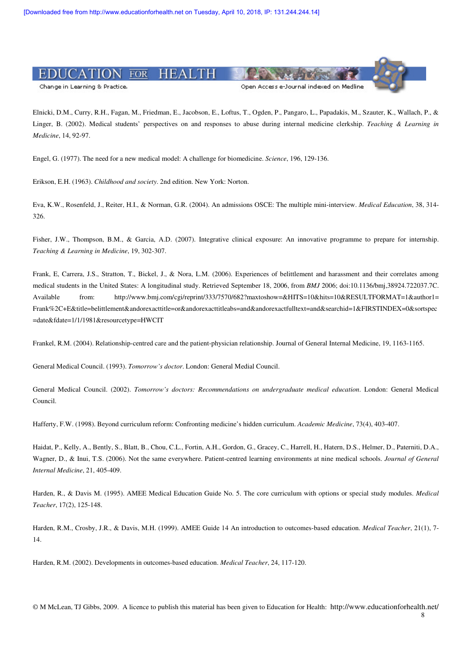

Elnicki, D.M., Curry, R.H., Fagan, M., Friedman, E., Jacobson, E., Loftus, T., Ogden, P., Pangaro, L., Papadakis, M., Szauter, K., Wallach, P., & Linger, B. (2002). Medical students' perspectives on and responses to abuse during internal medicine clerkship. *Teaching & Learning in Medicine*, 14, 92-97.

Engel, G. (1977). The need for a new medical model: A challenge for biomedicine. *Science*, 196, 129-136.

Erikson, E.H. (1963). *Childhood and society*. 2nd edition. New York: Norton.

Eva, K.W., Rosenfeld, J., Reiter, H.I., & Norman, G.R. (2004). An admissions OSCE: The multiple mini-interview. *Medical Education*, 38, 314- 326.

Fisher, J.W., Thompson, B.M., & Garcia, A.D. (2007). Integrative clinical exposure: An innovative programme to prepare for internship. *Teaching & Learning in Medicine*, 19, 302-307.

Frank, E, Carrera, J.S., Stratton, T., Bickel, J., & Nora, L.M. (2006). Experiences of belittlement and harassment and their correlates among medical students in the United States: A longitudinal study. Retrieved September 18, 2006, from *BMJ* 2006; doi:10.1136/bmj,38924.722037.7C. Available from: http://www.bmj.com/cgi/reprint/333/7570/682?maxtoshow=&HITS=10&hits=10&RESULTFORMAT=1&author1= Frank%2C+E&title=belittlement&andorexacttitle=or&andorexacttitleabs=and&andorexactfulltext=and&searchid=1&FIRSTINDEX=0&sortspec =date&fdate=1/1/1981&resourcetype=HWCIT

Frankel, R.M. (2004). Relationship-centred care and the patient-physician relationship. Journal of General Internal Medicine, 19, 1163-1165.

General Medical Council. (1993). *Tomorrow's doctor*. London: General Medial Council.

General Medical Council. (2002). *Tomorrow's doctors: Recommendations on undergraduate medical education*. London: General Medical Council.

Hafferty, F.W. (1998). Beyond curriculum reform: Confronting medicine's hidden curriculum. *Academic Medicine*, 73(4), 403-407.

Haidat, P., Kelly, A., Bently, S., Blatt, B., Chou, C.L., Fortin, A.H., Gordon, G., Gracey, C., Harrell, H., Hatern, D.S., Helmer, D., Paterniti, D.A., Wagner, D., & Inui, T.S. (2006). Not the same everywhere. Patient-centred learning environments at nine medical schools. *Journal of General Internal Medicine*, 21, 405-409.

Harden, R., & Davis M. (1995). AMEE Medical Education Guide No. 5. The core curriculum with options or special study modules. *Medical Teacher*, 17(2), 125-148.

Harden, R.M., Crosby, J.R., & Davis, M.H. (1999). AMEE Guide 14 An introduction to outcomes-based education. *Medical Teacher*, 21(1), 7- 14.

Harden, R.M. (2002). Developments in outcomes-based education. *Medical Teacher*, 24, 117-120.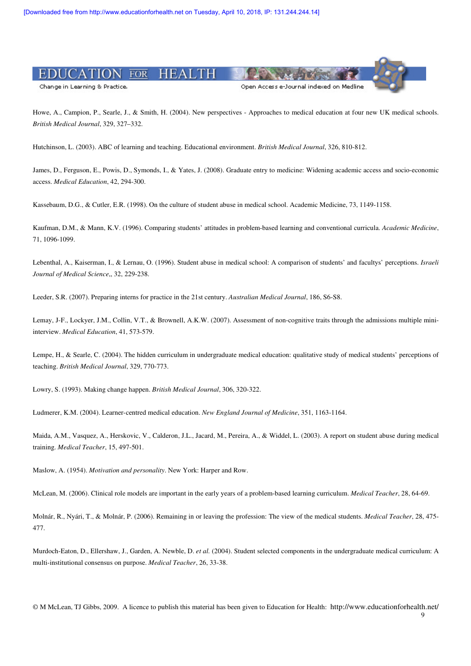

Howe, A., Campion, P., Searle, J., & Smith, H. (2004). New perspectives - Approaches to medical education at four new UK medical schools. *British Medical Journal*, 329, 327–332.

Hutchinson, L. (2003). ABC of learning and teaching. Educational environment. *British Medical Journal*, 326, 810-812.

James, D., Ferguson, E., Powis, D., Symonds, I., & Yates, J. (2008). Graduate entry to medicine: Widening academic access and socio-economic access. *Medical Education*, 42, 294-300.

Kassebaum, D.G., & Cutler, E.R. (1998). On the culture of student abuse in medical school. Academic Medicine, 73, 1149-1158.

Kaufman, D.M., & Mann, K.V. (1996). Comparing students' attitudes in problem-based learning and conventional curricula. *Academic Medicine*, 71, 1096-1099.

Lebenthal, A., Kaiserman, I., & Lernau, O. (1996). Student abuse in medical school: A comparison of students' and facultys' perceptions. *Israeli Journal of Medical Science*,, 32, 229-238.

Leeder, S.R. (2007). Preparing interns for practice in the 21st century. *Australian Medical Journal*, 186, S6-S8.

Lemay, J-F., Lockyer, J.M., Collin, V.T., & Brownell, A.K.W. (2007). Assessment of non-cognitive traits through the admissions multiple miniinterview. *Medical Education*, 41, 573-579.

Lempe, H., & Searle, C. (2004). The hidden curriculum in undergraduate medical education: qualitative study of medical students' perceptions of teaching. *British Medical Journal*, 329, 770-773.

Lowry, S. (1993). Making change happen. *British Medical Journal*, 306, 320-322.

Ludmerer, K.M. (2004). Learner-centred medical education. *New England Journal of Medicine*, 351, 1163-1164.

Maida, A.M., Vasquez, A., Herskovic, V., Calderon, J.L., Jacard, M., Pereira, A., & Widdel, L. (2003). A report on student abuse during medical training. *Medical Teacher*, 15, 497-501.

Maslow, A. (1954). *Motivation and personality*. New York: Harper and Row.

McLean, M. (2006). Clinical role models are important in the early years of a problem-based learning curriculum. *Medical Teacher*, 28, 64-69.

Molnár, R., Nyári, T., & Molnár, P. (2006). Remaining in or leaving the profession: The view of the medical students. *Medical Teacher*, 28, 475- 477.

Murdoch-Eaton, D., Ellershaw, J., Garden, A. Newble, D. *et al.* (2004). Student selected components in the undergraduate medical curriculum: A multi-institutional consensus on purpose. *Medical Teacher*, 26, 33-38.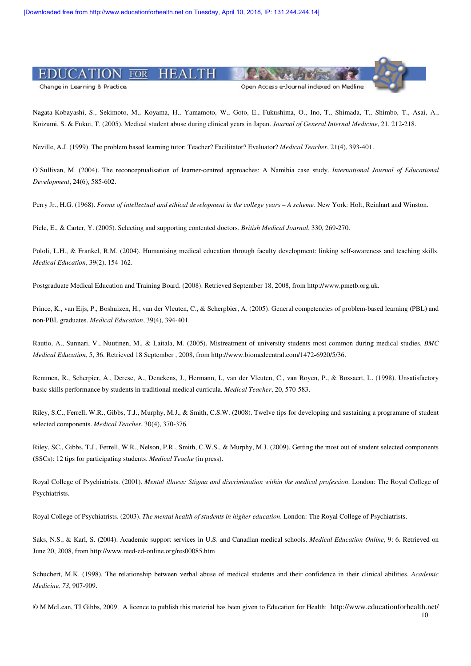

Nagata-Kobayashi, S., Sekimoto, M., Koyama, H., Yamamoto, W., Goto, E., Fukushima, O., Ino, T., Shimada, T., Shimbo, T., Asai, A., Koizumi, S. & Fukui, T. (2005). Medical student abuse during clinical years in Japan. *Journal of General Internal Medicine*, 21, 212-218.

Neville, A.J. (1999). The problem based learning tutor: Teacher? Facilitator? Evaluator? *Medical Teacher*, 21(4), 393-401.

O'Sullivan, M. (2004). The reconceptualisation of learner-centred approaches: A Namibia case study. *International Journal of Educational Development*, 24(6), 585-602.

Perry Jr., H.G. (1968). *Forms of intellectual and ethical development in the college years – A scheme*. New York: Holt, Reinhart and Winston.

Piele, E., & Carter, Y. (2005). Selecting and supporting contented doctors. *British Medical Journal*, 330, 269-270.

Pololi, L.H., & Frankel, R.M. (2004). Humanising medical education through faculty development: linking self-awareness and teaching skills. *Medical Education*, 39(2), 154-162.

Postgraduate Medical Education and Training Board. (2008). Retrieved September 18, 2008, from http://www.pmetb.org.uk.

Prince, K., van Eijs, P., Boshuizen, H., van der Vleuten, C., & Scherpbier, A. (2005). General competencies of problem-based learning (PBL) and non-PBL graduates. *Medical Education*, 39(4), 394-401.

Rautio, A., Sunnari, V., Nuutinen, M., & Laitala, M. (2005). Mistreatment of university students most common during medical studies. *BMC Medical Education*, 5, 36. Retrieved 18 September , 2008, from http://www.biomedcentral.com/1472-6920/5/36.

Remmen, R., Scherpier, A., Derese, A., Denekens, J., Hermann, I., van der Vleuten, C., van Royen, P., & Bossaert, L. (1998). Unsatisfactory basic skills performance by students in traditional medical curricula. *Medical Teacher*, 20, 570-583.

Riley, S.C., Ferrell, W.R., Gibbs, T.J., Murphy, M.J., & Smith, C.S.W. (2008). Twelve tips for developing and sustaining a programme of student selected components. *Medical Teacher*, 30(4), 370-376.

Riley, SC., Gibbs, T.J., Ferrell, W.R., Nelson, P.R., Smith, C.W.S., & Murphy, M.J. (2009). Getting the most out of student selected components (SSCs): 12 tips for participating students. *Medical Teache* (in press).

Royal College of Psychiatrists. (2001). *Mental illness: Stigma and discrimination within the medical profession*. London: The Royal College of Psychiatrists.

Royal College of Psychiatrists. (2003). *The mental health of students in higher education*. London: The Royal College of Psychiatrists.

Saks, N.S., & Karl, S. (2004). Academic support services in U.S. and Canadian medical schools. *Medical Education Online*, 9: 6. Retrieved on June 20, 2008, from http://www.med-ed-online.org/res00085.htm

Schuchert, M.K. (1998). The relationship between verbal abuse of medical students and their confidence in their clinical abilities. *Academic Medicine, 73*, 907-909.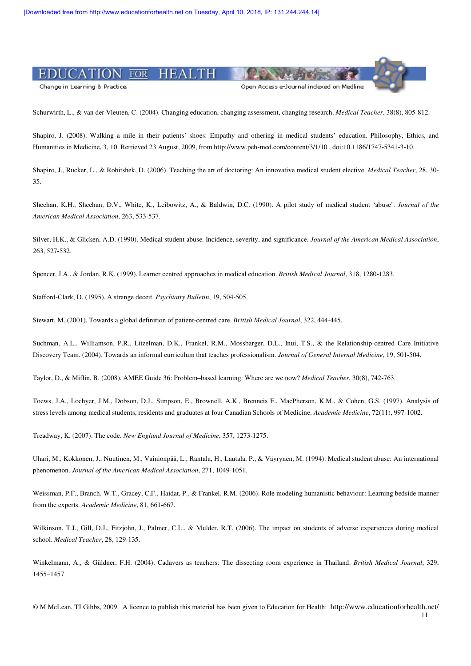

Schurwirth, L., & van der Vleuten, C. (2004). Changing education, changing assessment, changing research. *Medical Teacher*, 38(8), 805-812.

Shapiro, J. (2008). Walking a mile in their patients' shoes: Empathy and othering in medical students' education. Philosophy, Ethics, and Humanities in Medicine, 3, 10. Retrieved 23 August, 2009, from http://www.peh-med.com/content/3/1/10 , doi:10.1186/1747-5341-3-10.

Shapiro, J., Rucker, L., & Robitshek, D. (2006). Teaching the art of doctoring: An innovative medical student elective. *Medical Teacher*, 28, 30- 35.

Sheehan, K.H., Sheehan, D.V., White, K., Leibowitz, A., & Baldwin, D.C. (1990). A pilot study of medical student 'abuse'. *Journal of the American Medical Association*, 263, 533-537.

Silver, H.K., & Glicken, A.D. (1990). Medical student abuse. Incidence, severity, and significance. *Journal of the American Medical Association*, 263, 527-532.

Spencer, J.A., & Jordan, R.K. (1999). Learner centred approaches in medical education. *British Medical Journal*, 318, 1280-1283.

Stafford-Clark, D. (1995). A strange deceit. *Psychiatry Bulletin*, 19, 504-505.

Stewart, M. (2001). Towards a global definition of patient-centred care. *British Medical Journal*, 322, 444-445.

Suchman, A.L., Williamson, P.R., Litzelman, D.K., Frankel, R.M., Mossbarger, D.L., Inui, T.S., & the Relationship-centred Care Initiative Discovery Team. (2004). Towards an informal curriculum that teaches professionalism. *Journal of General Internal Medicine*, 19, 501-504.

Taylor, D., & Miflin, B. (2008). AMEE Guide 36: Problem–based learning: Where are we now? *Medical Teacher*, 30(8), 742-763.

Toews, J.A., Lochyer, J.M., Dobson, D.J., Simpson, E., Brownell, A.K., Brenneis F., MacPherson, K.M., & Cohen, G.S. (1997). Analysis of stress levels among medical students, residents and graduates at four Canadian Schools of Medicine. *Academic Medicine*, 72(11), 997-1002.

Treadway, K. (2007). The code. *New England Journal of Medicine*, 357, 1273-1275.

Uhari, M., Kokkonen, J., Nuutinen, M., Vainionpää, L., Rantala, H., Lautala, P., & Väyrynen, M. (1994). Medical student abuse: An international phenomenon. *Journal of the American Medical Association*, 271, 1049-1051.

Weissman, P.F., Branch, W.T., Gracey, C.F., Haidat, P., & Frankel, R.M. (2006). Role modeling humanistic behaviour: Learning bedside manner from the experts. *Academic Medicine*, 81, 661-667.

Wilkinson, T.J., Gill, D.J., Fitzjohn, J., Palmer, C.L., & Mulder, R.T. (2006). The impact on students of adverse experiences during medical school. *Medical Teacher*, 28, 129-135.

Winkelmann, A., & Güldner, F.H. (2004). Cadavers as teachers: The dissecting room experience in Thailand. *British Medical Journal*, 329, 1455–1457.